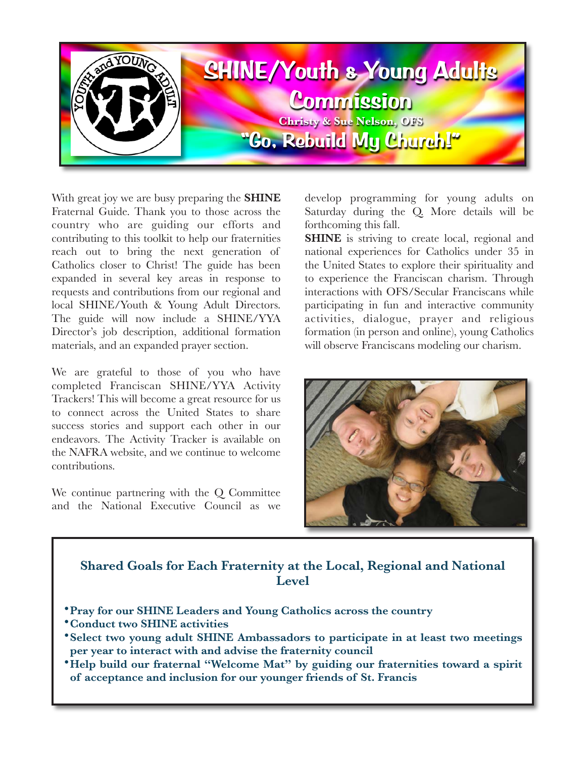

With great joy we are busy preparing the **SHINE**  Fraternal Guide. Thank you to those across the country who are guiding our efforts and contributing to this toolkit to help our fraternities reach out to bring the next generation of Catholics closer to Christ! The guide has been expanded in several key areas in response to requests and contributions from our regional and local SHINE/Youth & Young Adult Directors. The guide will now include a SHINE/YYA Director's job description, additional formation materials, and an expanded prayer section.

We are grateful to those of you who have completed Franciscan SHINE/YYA Activity Trackers! This will become a great resource for us to connect across the United States to share success stories and support each other in our endeavors. The Activity Tracker is available on the NAFRA website, and we continue to welcome contributions.

We continue partnering with the Q Committee and the National Executive Council as we develop programming for young adults on Saturday during the Q. More details will be forthcoming this fall.

**SHINE** is striving to create local, regional and national experiences for Catholics under 35 in the United States to explore their spirituality and to experience the Franciscan charism. Through interactions with OFS/Secular Franciscans while participating in fun and interactive community activities, dialogue, prayer and religious formation (in person and online), young Catholics will observe Franciscans modeling our charism.



## **Shared Goals for Each Fraternity at the Local, Regional and National Level**

- •**Pray for our SHINE Leaders and Young Catholics across the country**
- •**Conduct two SHINE activities**
- •**Select two young adult SHINE Ambassadors to participate in at least two meetings per year to interact with and advise the fraternity council**
- **Help build our fraternal "Welcome Mat" by guiding our fraternities toward a spirit of acceptance and inclusion for our younger friends of St. Francis**